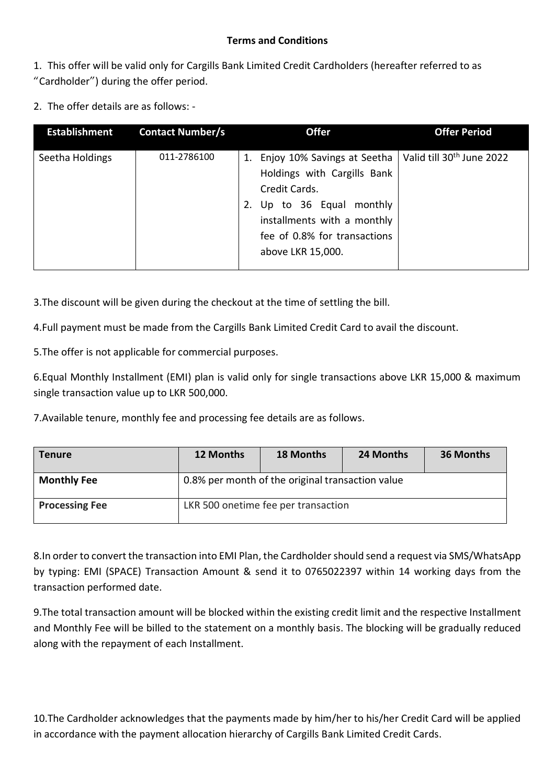## **Terms and Conditions**

1. This offer will be valid only for Cargills Bank Limited Credit Cardholders (hereafter referred to as "Cardholder") during the offer period.

2. The offer details are as follows: -

| <b>Establishment</b> | <b>Contact Number/s</b> | <b>Offer</b>                                                                                                                                                                                          | <b>Offer Period</b>                   |
|----------------------|-------------------------|-------------------------------------------------------------------------------------------------------------------------------------------------------------------------------------------------------|---------------------------------------|
| Seetha Holdings      | 011-2786100             | Enjoy 10% Savings at Seetha<br>1.<br>Holdings with Cargills Bank<br>Credit Cards.<br>Up to 36 Equal monthly<br>2.<br>installments with a monthly<br>fee of 0.8% for transactions<br>above LKR 15,000. | Valid till 30 <sup>th</sup> June 2022 |

3.The discount will be given during the checkout at the time of settling the bill.

4.Full payment must be made from the Cargills Bank Limited Credit Card to avail the discount.

5.The offer is not applicable for commercial purposes.

6.Equal Monthly Installment (EMI) plan is valid only for single transactions above LKR 15,000 & maximum single transaction value up to LKR 500,000.

7.Available tenure, monthly fee and processing fee details are as follows.

| Tenure                | 12 Months                                        | <b>18 Months</b>                    | 24 Months | 36 Months |  |
|-----------------------|--------------------------------------------------|-------------------------------------|-----------|-----------|--|
| <b>Monthly Fee</b>    | 0.8% per month of the original transaction value |                                     |           |           |  |
| <b>Processing Fee</b> |                                                  | LKR 500 onetime fee per transaction |           |           |  |

8.In order to convert the transaction into EMI Plan, the Cardholder should send a request via SMS/WhatsApp by typing: EMI (SPACE) Transaction Amount & send it to 0765022397 within 14 working days from the transaction performed date.

9.The total transaction amount will be blocked within the existing credit limit and the respective Installment and Monthly Fee will be billed to the statement on a monthly basis. The blocking will be gradually reduced along with the repayment of each Installment.

10.The Cardholder acknowledges that the payments made by him/her to his/her Credit Card will be applied in accordance with the payment allocation hierarchy of Cargills Bank Limited Credit Cards.